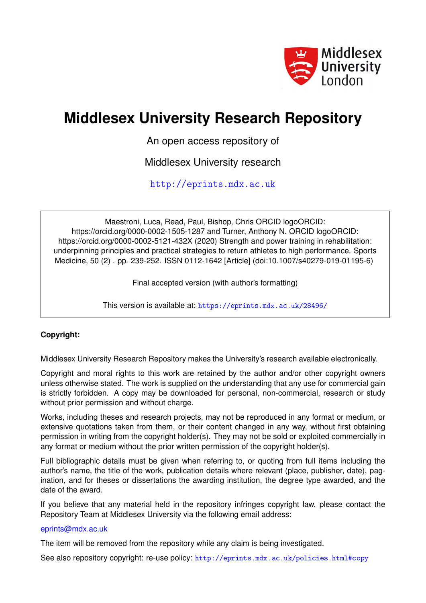

## **Middlesex University Research Repository**

An open access repository of

Middlesex University research

<http://eprints.mdx.ac.uk>

Maestroni, Luca, Read, Paul, Bishop, Chris ORCID logoORCID: https://orcid.org/0000-0002-1505-1287 and Turner, Anthony N. ORCID logoORCID: https://orcid.org/0000-0002-5121-432X (2020) Strength and power training in rehabilitation: underpinning principles and practical strategies to return athletes to high performance. Sports Medicine, 50 (2) . pp. 239-252. ISSN 0112-1642 [Article] (doi:10.1007/s40279-019-01195-6)

Final accepted version (with author's formatting)

This version is available at: <https://eprints.mdx.ac.uk/28496/>

## **Copyright:**

Middlesex University Research Repository makes the University's research available electronically.

Copyright and moral rights to this work are retained by the author and/or other copyright owners unless otherwise stated. The work is supplied on the understanding that any use for commercial gain is strictly forbidden. A copy may be downloaded for personal, non-commercial, research or study without prior permission and without charge.

Works, including theses and research projects, may not be reproduced in any format or medium, or extensive quotations taken from them, or their content changed in any way, without first obtaining permission in writing from the copyright holder(s). They may not be sold or exploited commercially in any format or medium without the prior written permission of the copyright holder(s).

Full bibliographic details must be given when referring to, or quoting from full items including the author's name, the title of the work, publication details where relevant (place, publisher, date), pagination, and for theses or dissertations the awarding institution, the degree type awarded, and the date of the award.

If you believe that any material held in the repository infringes copyright law, please contact the Repository Team at Middlesex University via the following email address:

## [eprints@mdx.ac.uk](mailto:eprints@mdx.ac.uk)

The item will be removed from the repository while any claim is being investigated.

See also repository copyright: re-use policy: <http://eprints.mdx.ac.uk/policies.html#copy>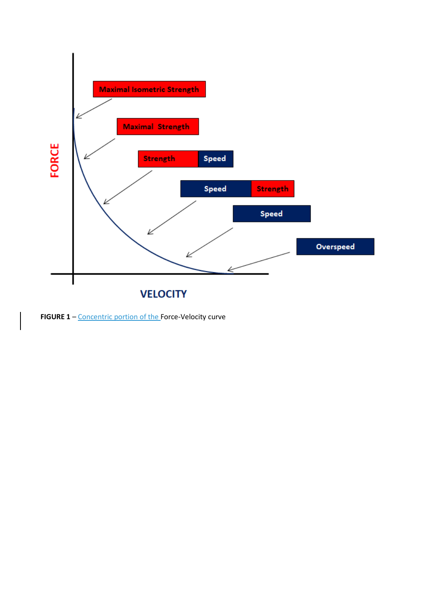

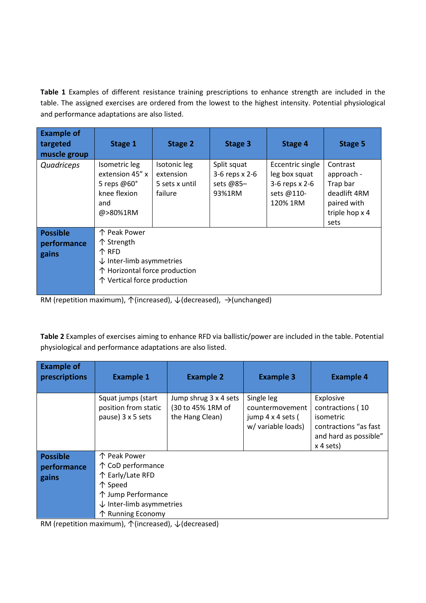**Table 1** Examples of different resistance training prescriptions to enhance strength are included in the table. The assigned exercises are ordered from the lowest to the highest intensity. Potential physiological and performance adaptations are also listed.

| <b>Example of</b><br>targeted<br>muscle group | Stage 1                                                                                                                                    | Stage 2                                                | Stage 3                                              | Stage 4                                                                       | Stage 5                                                                                     |
|-----------------------------------------------|--------------------------------------------------------------------------------------------------------------------------------------------|--------------------------------------------------------|------------------------------------------------------|-------------------------------------------------------------------------------|---------------------------------------------------------------------------------------------|
| Quadriceps                                    | Isometric leg<br>extension 45" x<br>5 reps @60°<br>knee flexion<br>and<br>@>80%1RM                                                         | Isotonic leg<br>extension<br>5 sets x until<br>failure | Split squat<br>3-6 reps x 2-6<br>sets @85-<br>93%1RM | Eccentric single<br>leg box squat<br>3-6 reps x 2-6<br>sets @110-<br>120% 1RM | Contrast<br>approach -<br>Trap bar<br>deadlift 4RM<br>paired with<br>triple hop x 4<br>sets |
| <b>Possible</b><br>performance<br>gains       | 个 Peak Power<br>个 Strength<br>个 RFD<br>$\downarrow$ Inter-limb asymmetries<br>↑ Horizontal force production<br>↑ Vertical force production |                                                        |                                                      |                                                                               |                                                                                             |

RM (repetition maximum),  $\uparrow$  (increased),  $\downarrow$  (decreased),  $\rightarrow$  (unchanged)

**Table 2** Examples of exercises aiming to enhance RFD via ballistic/power are included in the table. Potential physiological and performance adaptations are also listed.

| <b>Example of</b><br>prescriptions      | <b>Example 1</b>                                                                                                                                   | <b>Example 2</b>                                              | <b>Example 3</b>                                                         | <b>Example 4</b>                                                                                             |
|-----------------------------------------|----------------------------------------------------------------------------------------------------------------------------------------------------|---------------------------------------------------------------|--------------------------------------------------------------------------|--------------------------------------------------------------------------------------------------------------|
|                                         | Squat jumps (start<br>position from static<br>pause) 3 x 5 sets                                                                                    | Jump shrug 3 x 4 sets<br>(30 to 45% 1RM of<br>the Hang Clean) | Single leg<br>countermovement<br>jump 4 x 4 sets (<br>w/ variable loads) | Explosive<br>contractions (10<br>isometric<br>contractions "as fast"<br>and hard as possible"<br>$x$ 4 sets) |
| <b>Possible</b><br>performance<br>gains | 个 Peak Power<br>个 CoD performance<br>个 Early/Late RFD<br>个 Speed<br>个 Jump Performance<br>$\downarrow$ Inter-limb asymmetries<br>个 Running Economy |                                                               |                                                                          |                                                                                                              |

RM (repetition maximum),  $\uparrow$  (increased),  $\downarrow$  (decreased)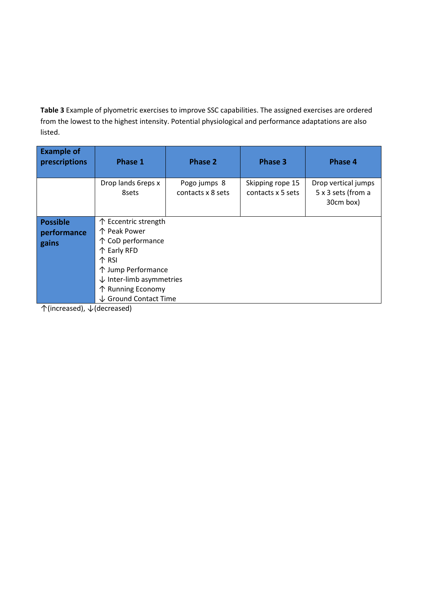**Table 3** Example of plyometric exercises to improve SSC capabilities. The assigned exercises are ordered from the lowest to the highest intensity. Potential physiological and performance adaptations are also listed.

| <b>Example of</b><br>prescriptions      | <b>Phase 1</b>                                                                                                                                                                                          | <b>Phase 2</b>                    | <b>Phase 3</b>                        | <b>Phase 4</b>                                         |
|-----------------------------------------|---------------------------------------------------------------------------------------------------------------------------------------------------------------------------------------------------------|-----------------------------------|---------------------------------------|--------------------------------------------------------|
|                                         | Drop lands 6reps x<br>8sets                                                                                                                                                                             | Pogo jumps 8<br>contacts x 8 sets | Skipping rope 15<br>contacts x 5 sets | Drop vertical jumps<br>5 x 3 sets (from a<br>30cm box) |
| <b>Possible</b><br>performance<br>gains | 个 Eccentric strength<br>个 Peak Power<br>个 CoD performance<br>个 Early RFD<br>个 RSI<br>个 Jump Performance<br>$\downarrow$ Inter-limb asymmetries<br>个 Running Economy<br>$\downarrow$ Ground Contact Time |                                   |                                       |                                                        |

↑(increased), ↓(decreased)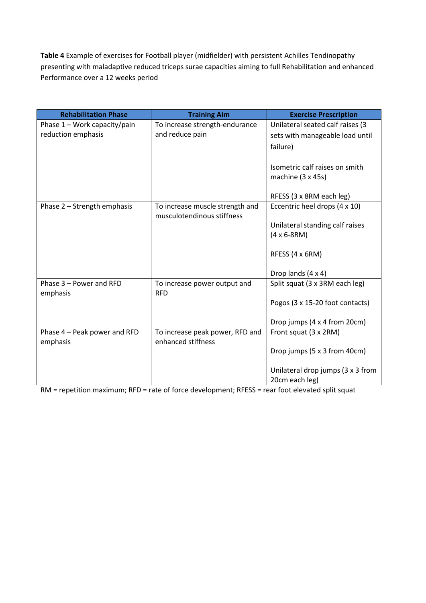**Table 4** Example of exercises for Football player (midfielder) with persistent Achilles Tendinopathy presenting with maladaptive reduced triceps surae capacities aiming to full Rehabilitation and enhanced Performance over a 12 weeks period

| <b>Rehabilitation Phase</b>  | <b>Training Aim</b>             | <b>Exercise Prescription</b>      |
|------------------------------|---------------------------------|-----------------------------------|
| Phase 1 - Work capacity/pain | To increase strength-endurance  | Unilateral seated calf raises (3  |
| reduction emphasis           | and reduce pain                 | sets with manageable load until   |
|                              |                                 | failure)                          |
|                              |                                 |                                   |
|                              |                                 | Isometric calf raises on smith    |
|                              |                                 | machine (3 x 45s)                 |
|                              |                                 |                                   |
|                              |                                 | RFESS (3 x 8RM each leg)          |
| Phase 2 - Strength emphasis  | To increase muscle strength and | Eccentric heel drops (4 x 10)     |
|                              | musculotendinous stiffness      |                                   |
|                              |                                 | Unilateral standing calf raises   |
|                              |                                 | $(4 \times 6 - 8$ RM)             |
|                              |                                 | RFESS (4 x 6RM)                   |
|                              |                                 |                                   |
|                              |                                 | Drop lands (4 x 4)                |
| Phase 3 - Power and RFD      | To increase power output and    | Split squat (3 x 3RM each leg)    |
| emphasis                     | <b>RFD</b>                      |                                   |
|                              |                                 | Pogos (3 x 15-20 foot contacts)   |
|                              |                                 |                                   |
|                              |                                 | Drop jumps (4 x 4 from 20cm)      |
| Phase 4 - Peak power and RFD | To increase peak power, RFD and | Front squat (3 x 2RM)             |
| emphasis                     | enhanced stiffness              |                                   |
|                              |                                 | Drop jumps (5 x 3 from 40cm)      |
|                              |                                 |                                   |
|                              |                                 | Unilateral drop jumps (3 x 3 from |
|                              |                                 | 20cm each leg)                    |

RM = repetition maximum; RFD = rate of force development; RFESS = rear foot elevated split squat